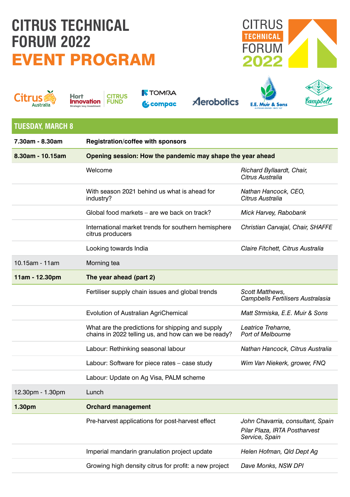## **CITRUS TECHNICAL FORUM 2022** EVENT PROGRAM







**TOMRA &** compac

**Aerobotics** 





| <b>TUESDAY, MARCH 8</b> |                                                                                                         |                                                                                      |  |
|-------------------------|---------------------------------------------------------------------------------------------------------|--------------------------------------------------------------------------------------|--|
| 7.30am - 8.30am         | Registration/coffee with sponsors                                                                       |                                                                                      |  |
| 8.30am - 10.15am        | Opening session: How the pandemic may shape the year ahead                                              |                                                                                      |  |
|                         | Welcome                                                                                                 | Richard Byllaardt, Chair,<br>Citrus Australia                                        |  |
|                         | With season 2021 behind us what is ahead for<br>industry?                                               | Nathan Hancock, CEO,<br>Citrus Australia                                             |  |
|                         | Global food markets – are we back on track?                                                             | Mick Harvey, Rabobank                                                                |  |
|                         | International market trends for southern hemisphere<br>citrus producers                                 | Christian Carvajal, Chair, SHAFFE                                                    |  |
|                         | Looking towards India                                                                                   | Claire Fitchett, Citrus Australia                                                    |  |
| 10.15am - 11am          | Morning tea                                                                                             |                                                                                      |  |
| 11am - 12.30pm          | The year ahead (part 2)                                                                                 |                                                                                      |  |
|                         | Fertiliser supply chain issues and global trends                                                        | Scott Matthews,<br>Campbells Fertilisers Australasia                                 |  |
|                         | Evolution of Australian AgriChemical                                                                    | Matt Strmiska, E.E. Muir & Sons                                                      |  |
|                         | What are the predictions for shipping and supply<br>chains in 2022 telling us, and how can we be ready? | Leatrice Treharne.<br><b>Port of Melbourne</b>                                       |  |
|                         | Labour: Rethinking seasonal labour                                                                      | Nathan Hancock, Citrus Australia                                                     |  |
|                         | Labour: Software for piece rates - case study                                                           | Wim Van Niekerk, grower, FNQ                                                         |  |
|                         | Labour: Update on Ag Visa, PALM scheme                                                                  |                                                                                      |  |
| 12.30pm - 1.30pm        | Lunch                                                                                                   |                                                                                      |  |
| 1.30pm                  | <b>Orchard management</b>                                                                               |                                                                                      |  |
|                         | Pre-harvest applications for post-harvest effect                                                        | John Chavarria, consultant, Spain<br>Pilar Plaza, IRTA Postharvest<br>Service, Spain |  |
|                         | Imperial mandarin granulation project update                                                            | Helen Hofman, Qld Dept Ag                                                            |  |

Growing high density citrus for profit: a new project *Dave Monks, NSW DPI*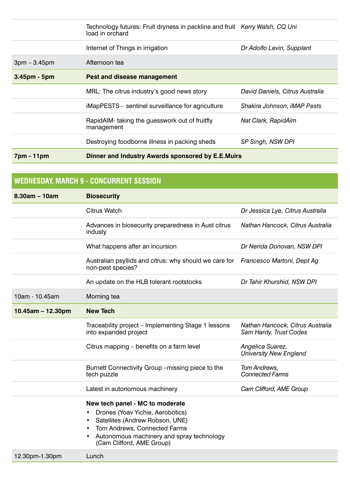|                | Technology futures: Fruit dryness in packline and fruit Kerry Walsh, CQ Uni<br>load in orchard |                                 |
|----------------|------------------------------------------------------------------------------------------------|---------------------------------|
|                | Internet of Things in irrigation                                                               | Dr Adolfo Levin, Supplant       |
| $3pm - 3.45pm$ | Afternoon tea                                                                                  |                                 |
| $3.45pm - 5pm$ | Pest and disease management                                                                    |                                 |
|                | MRL: The citrus industry's good news story                                                     | David Daniels, Citrus Australia |
|                | iMapPESTS – sentinel surveillance for agriculture                                              | Shakira Johnson, iMAP Pests     |
|                | RapidAIM-taking the quesswork out of fruitfly<br>management                                    | Nat Clark, RapidAim             |
|                | Destroying foodborne illness in packing sheds                                                  | SP Singh, NSW DPI               |
| 7pm - 11pm     | Dinner and Industry Awards sponsored by E.E.Muirs                                              |                                 |

| WEDNESDAY, MARCH 9 - CONCURRENT SESSION |                                                                                                                                                  |                                                            |  |  |
|-----------------------------------------|--------------------------------------------------------------------------------------------------------------------------------------------------|------------------------------------------------------------|--|--|
| $8.30am - 10am$                         | <b>Biosecurity</b>                                                                                                                               |                                                            |  |  |
|                                         | Citrus Watch                                                                                                                                     | Dr Jessica Lye, Citrus Australia                           |  |  |
|                                         | Advances in biosecurity preparedness in Aust citrus<br>industy                                                                                   | Nathan Hancock, Citrus Australia                           |  |  |
|                                         | What happens after an incursion                                                                                                                  | Dr Nerida Donovan, NSW DPI                                 |  |  |
|                                         | Australian psyllids and citrus: why should we care for Francesco Martoni, Dept Ag<br>non-pest species?                                           |                                                            |  |  |
|                                         | An update on the HLB tolerant rootstocks                                                                                                         | Dr Tahir Khurshid, NSW DPI                                 |  |  |
| 10am - 10.45am                          | Morning tea                                                                                                                                      |                                                            |  |  |
| $10.45$ am - 12.30pm                    | <b>New Tech</b>                                                                                                                                  |                                                            |  |  |
|                                         | Traceability project – Implementing Stage 1 lessons<br>into expanded project                                                                     | Nathan Hancock, Citrus Australia<br>Sam Hardy, Trust Codes |  |  |
|                                         | Citrus mapping – benefits on a farm level                                                                                                        | Angelica Suarez,<br>University New England                 |  |  |
|                                         | Burnett Connectivity Group - missing piece to the<br>tech puzzle                                                                                 | Tom Andrews,<br><b>Connected Farms</b>                     |  |  |
|                                         | Latest in autonomous machinery                                                                                                                   | Cam Clifford, AME Group                                    |  |  |
|                                         | New tech panel - MC to moderate<br>Drones (Yoav Yichie, Aerobotics)<br>Satellites (Andrew Robson, UNE)<br>٠<br>Tom Andrews, Connected Farms<br>٠ |                                                            |  |  |
| 12.30pm-1.30pm                          | Autonomous machinery and spray technology<br>(Cam Clifford, AME Group)<br>Lunch                                                                  |                                                            |  |  |